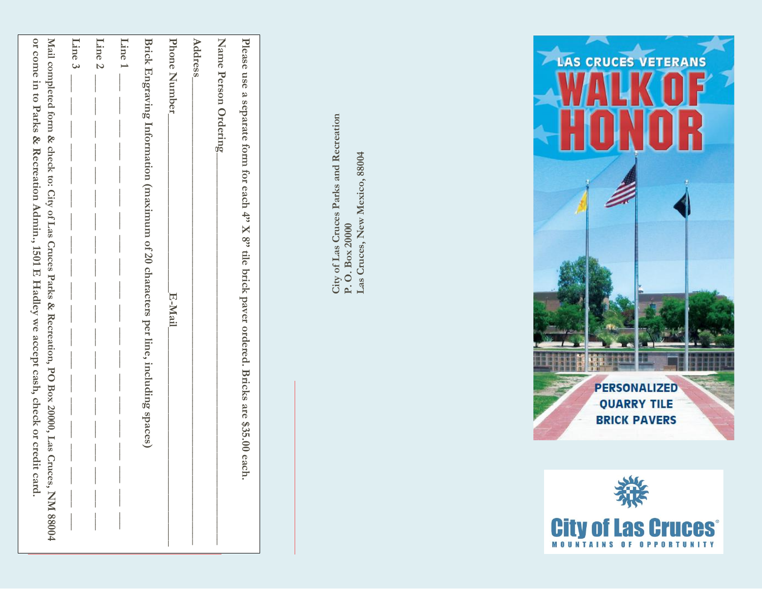| or come in to Parks & Recreation Admin., 1501 E Hadley we accept cash, check or credi<br>Mail completed form & check to: City of Las Cruces Parks & Recreation, PO Box 20000, Las Cruces, NM 88004<br>it card. | Line 3 | $L$ ine 2 | Line 1 | Brick Engraving Information (maximum of 20 characters per line, including spaces) | Phone Number | <b>Address</b> | Name Person Ordering | Please use a separate form for each 4" X 8" tile brick paver ordered. Bricks are \$35.00 each |
|----------------------------------------------------------------------------------------------------------------------------------------------------------------------------------------------------------------|--------|-----------|--------|-----------------------------------------------------------------------------------|--------------|----------------|----------------------|-----------------------------------------------------------------------------------------------|
|                                                                                                                                                                                                                |        |           |        |                                                                                   | E-Mail       |                |                      |                                                                                               |

City of Las Cruces Parks and Recreation<br>P. O. Box 20000<br>Las Cruces, New Mexico, 88004 **City of Las Cruces Parks and Recreation Las Cruces, New Mexico, 88004 P. O. Box 20000**